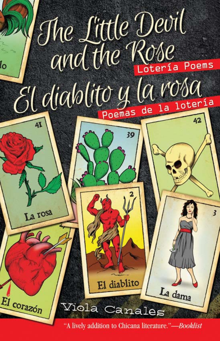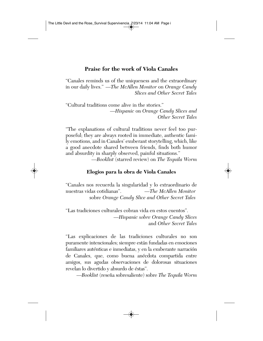#### **Praise for the work of Viola Canales**

"Canales reminds us of the uniqueness and the extraordinary in our daily lives." —*The McAllen Monitor* on *Orange Candy Slices and Other Secret Tales*

"Cultural traditions come alive in the stories." —*Hispanic* on *Orange Candy Slices and Other Secret Tales*

"The explanations of cultural traditions never feel too purposeful; they are always rooted in immediate, authentic family emotions, and in Canales' exuberant storytelling, which, like a good anecdote shared between friends, finds both humor and absurdity in sharply observed, painful situations."

—*Booklist* (starred review) on *The Tequila Worm*

#### **Elogios para la obra de Viola Canales**

"Canales nos recuerda la singularidad y lo extraordinario de nuestras vidas cotidianas". —*The McAllen Monitor* sobre *Orange Candy Slice and Other Secret Tales*

"Las tradiciones culturales cobran vida en estos cuentos". —*Hispanic sobre Orange Candy Slices* and *Other Secret Tales*

"Las explicaciones de las tradiciones culturales no son puramente intencionales; siempre están fundadas en emociones familiares auténticas e inmediatas, y en la exuberante narración de Canales, que, como buena anécdota compartida entre amigos, sus agudas observaciones de dolorosas situaciones revelan lo divertido y absurdo de éstas".

—*Booklist* (reseña sobresaliente) sobre *The Tequila Worm*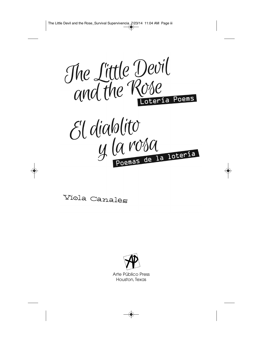

# El diablito y la roba

Viola Canales



Arte Público Press Houston, Texas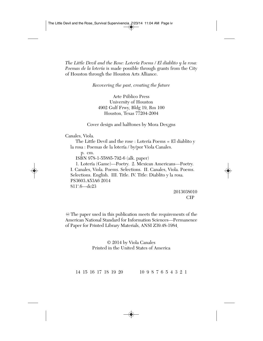*The Little Devil and the Rose: Lotería Poems / El diablito y la rosa: Poemas de la lotería* is made possible through grants from the City of Houston through the Houston Arts Alliance.

#### *Recovering the past, creating the future*

Arte Público Press University of Houston 4902 Gulf Frwy, Bldg 19, Rm 100 Houston, Texas 77204-2004

Cover design and halftones by Mora Des¡gns

Canales, Viola.

The Little Devil and the rose : Lotería Poems = El diablito y la rosa : Poemas de la lotería / by/por Viola Canales.

p. cm. ISBN 978-1-55885-792-6 (alk. paper) 1. Lotería (Game)—Poetry. 2. Mexican Americans—Poetry. I. Canales, Viola. Poems. Selections. II. Canales, Viola. Poems. Selections. English. III. Title. IV. Title: Diablito y la rosa. PS3603.A53A6 2014 811'.6—dc23

2013038010 CIP

 $\otimes$  The paper used in this publication meets the requirements of the American National Standard for Information Sciences—Permanence of Paper for Printed Library Materials, ANSI Z39.48-1984.

> © 2014 by Viola Canales Printed in the United States of America

14 15 16 17 18 19 20 10 9 8 7 6 5 4 3 2 1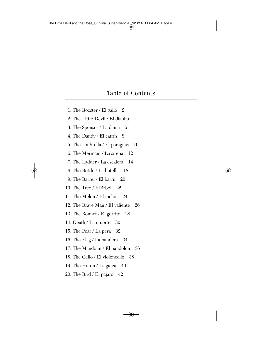#### Table of Contents

- 1. The Rooster / El gallo 2
- 2. The Little Devil / El diablito 4
- 3. The Sponsor / La dama 6
- 4. The Dandy / El catrín 8
- 5. The Umbrella / El paraguas 10
- 6. The Mermaid / La sirena 12
- 7. The Ladder / La escalera 14
- 8. The Bottle / La botella 18
- 9. The Barrel / El barril 20
- 10. The Tree / El árbol 22
- 11. The Melon / El melón 24
- 12. The Brave Man / El valiente 26
- 13. The Bonnet / El gorrito 28
- 14. Death / La muerte 30
- 15. The Pear / La pera 32
- 16. The Flag / La bandera 34
- 17. The Mandolin / El bandolón 36
- 18. The Cello / El violoncello 38
- 19. The Heron / La garza 40
- 20. The Bird / El pájaro 42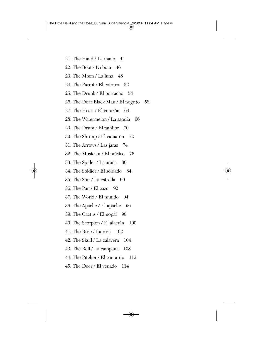- 21. The Hand / La mano 44
- 22. The Boot / La bota 46
- 23. The Moon / La luna 48
- 24. The Parrot / El cotorro 52
- 25. The Drunk / El borracho 54
- 26. The Dear Black Man / El negrito 58
- 27. The Heart / El corazón 64
- 28. The Watermelon / La sandía 66
- 29. The Drum / El tambor 70
- 30. The Shrimp / El camarón 72
- 31. The Arrows / Las jaras 74
- 32. The Musician / El músico 76
- 33. The Spider / La araña 80
- 34. The Soldier / El soldado 84
- 35. The Star / La estrella 90
- 36. The Pan / El cazo 92
- 37. The World / El mundo 94
- 38. The Apache / El apache 96
- 39. The Cactus / El nopal 98
- 40. The Scorpion / El alacrán 100
- 41. The Rose / La rosa 102
- 42. The Skull / La calavera 104
- 43. The Bell / La campana 108
- 44. The Pitcher / El cantarito 112
- 45. The Deer / El venado 114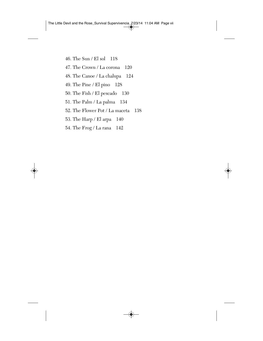- 46. The Sun / El sol 118
- 47. The Crown / La corona 120
- 48. The Canoe / La chalupa 124
- 49. The Pine / El pino 128
- 50. The Fish / El pescado 130
- 51. The Palm / La palma 134
- 52. The Flower Pot / La maceta 138
- 53. The Harp / El arpa 140
- 54. The Frog / La rana 142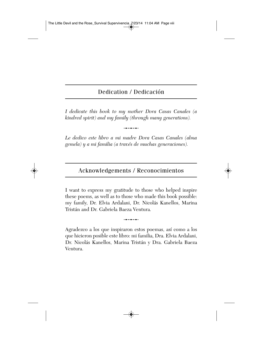## Dedication / Dedicación

*I dedicate this book to my mother Dora Casas Canales (a kindred spirit) and my family (through many generations).*

.<br>.......

*Le dedico este libro a mi madre Dora Casas Canales (alma gemela) y a mi familia (a través de muchas generaciones).*

### Acknowledgements / Reconocimientos

I want to express my gratitude to those who helped inspire these poems, as well as to those who made this book possible: my family, Dr. Elvia Ardalani, Dr. Nicolás Kanellos, Marina Tristán and Dr. Gabriela Baeza Ventura.

.<br>.......

Agradezco a los que inspiraron estos poemas, así como a los que hicieron posible este libro: mi familia, Dra. Elvia Ardalani, Dr. Nicolás Kanellos, Marina Tristán y Dra. Gabriela Baeza Ventura.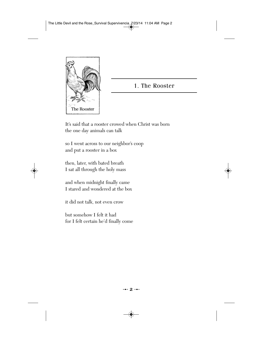

## 1. The Rooster

It's said that a rooster crowed when Christ was born the one day animals can talk

so I went across to our neighbor's coop and put a rooster in a box

then, later, with bated breath I sat all through the holy mass

and when midnight finally came I stared and wondered at the box

it did not talk, not even crow

but somehow I felt it had for I felt certain he'd finally come